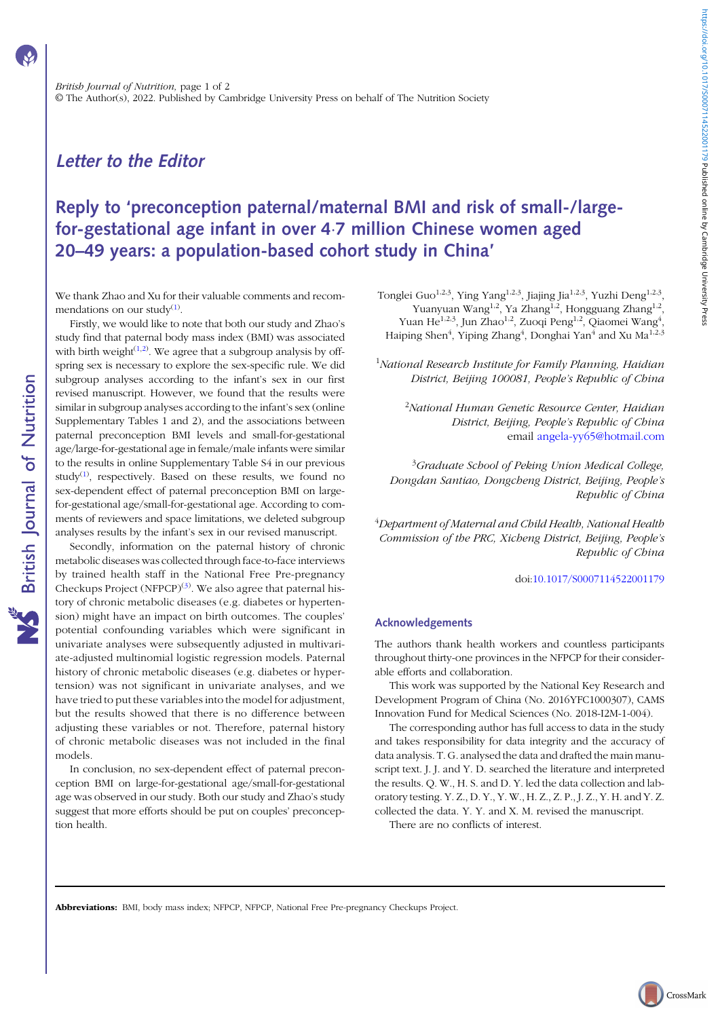## Letter to the Editor

# Reply to 'preconception paternal/maternal BMI and risk of small-/largefor-gestational age infant in over 4·7 million Chinese women aged 20–49 years: a population-based cohort study in China'

We thank Zhao and Xu for their valuable comments and recommendations on our study $<sup>(1)</sup>$  $<sup>(1)</sup>$  $<sup>(1)</sup>$ .</sup>

Firstly, we would like to note that both our study and Zhao's study find that paternal body mass index (BMI) was associated with birth weight $(1,2)$  $(1,2)$ . We agree that a subgroup analysis by offspring sex is necessary to explore the sex-specific rule. We did subgroup analyses according to the infant's sex in our first revised manuscript. However, we found that the results were similar in subgroup analyses according to the infant's sex (online Supplementary Tables 1 and 2), and the associations between paternal preconception BMI levels and small-for-gestational age/large-for-gestational age in female/male infants were similar to the results in online Supplementary Table S4 in our previous study $^{(1)}$  $^{(1)}$  $^{(1)}$ , respectively. Based on these results, we found no sex-dependent effect of paternal preconception BMI on largefor-gestational age/small-for-gestational age. According to comments of reviewers and space limitations, we deleted subgroup analyses results by the infant's sex in our revised manuscript.

Secondly, information on the paternal history of chronic metabolic diseases was collected through face-to-face interviews by trained health staff in the National Free Pre-pregnancy Checkups Project (NFPCP) $^{(3)}$  $^{(3)}$  $^{(3)}$ . We also agree that paternal history of chronic metabolic diseases (e.g. diabetes or hypertension) might have an impact on birth outcomes. The couples' potential confounding variables which were significant in univariate analyses were subsequently adjusted in multivariate-adjusted multinomial logistic regression models. Paternal history of chronic metabolic diseases (e.g. diabetes or hypertension) was not significant in univariate analyses, and we have tried to put these variables into the model for adjustment, but the results showed that there is no difference between adjusting these variables or not. Therefore, paternal history of chronic metabolic diseases was not included in the final models.

In conclusion, no sex-dependent effect of paternal preconception BMI on large-for-gestational age/small-for-gestational age was observed in our study. Both our study and Zhao's study suggest that more efforts should be put on couples' preconception health.

Tonglei Guo<sup>1,2,3</sup>, Ying Yang<sup>1,2,3</sup>, Jiajing Jia<sup>1,2,3</sup>, Yuzhi Deng<sup>1,2,3</sup>, Yuanyuan Wang<sup>1,2</sup>, Ya Zhang<sup>1,2</sup>, Hongguang Zhang<sup>1,2</sup>, Yuan He<sup>1,2,3</sup>, Jun Zhao<sup>1,2</sup>, Zuoqi Peng<sup>1,2</sup>, Qiaomei Wang<sup>4</sup>, Haiping Shen<sup>4</sup>, Yiping Zhang<sup>4</sup>, Donghai Yan<sup>4</sup> and Xu Ma<sup>1,2,3</sup>

<sup>1</sup>National Research Institute for Family Planning, Haidian District, Beijing 100081, People's Republic of China

<sup>2</sup>National Human Genetic Resource Center, Haidian District, Beijing, People's Republic of China email [angela-yy65@hotmail.com](mailto:angela-yy65@hotmail.com)

<sup>3</sup>Graduate School of Peking Union Medical College, Dongdan Santiao, Dongcheng District, Beijing, People's Republic of China

4 Department of Maternal and Child Health, National Health Commission of the PRC, Xicheng District, Beijing, People's Republic of China

doi:[10.1017/S0007114522001179](https://doi.org/10.1017/S0007114522001179)

#### Acknowledgements

The authors thank health workers and countless participants throughout thirty-one provinces in the NFPCP for their considerable efforts and collaboration.

This work was supported by the National Key Research and Development Program of China (No. 2016YFC1000307), CAMS Innovation Fund for Medical Sciences (No. 2018-I2M-1-004).

The corresponding author has full access to data in the study and takes responsibility for data integrity and the accuracy of data analysis. T. G. analysed the data and drafted the main manuscript text. J. J. and Y. D. searched the literature and interpreted the results. Q. W., H. S. and D. Y. led the data collection and laboratory testing. Y. Z., D. Y., Y. W., H. Z., Z. P., J. Z., Y. H. and Y. Z. collected the data. Y. Y. and X. M. revised the manuscript. There are no conflicts of interest.

Abbreviations: BMI, body mass index; NFPCP, NFPCP, National Free Pre-pregnancy Checkups Project.